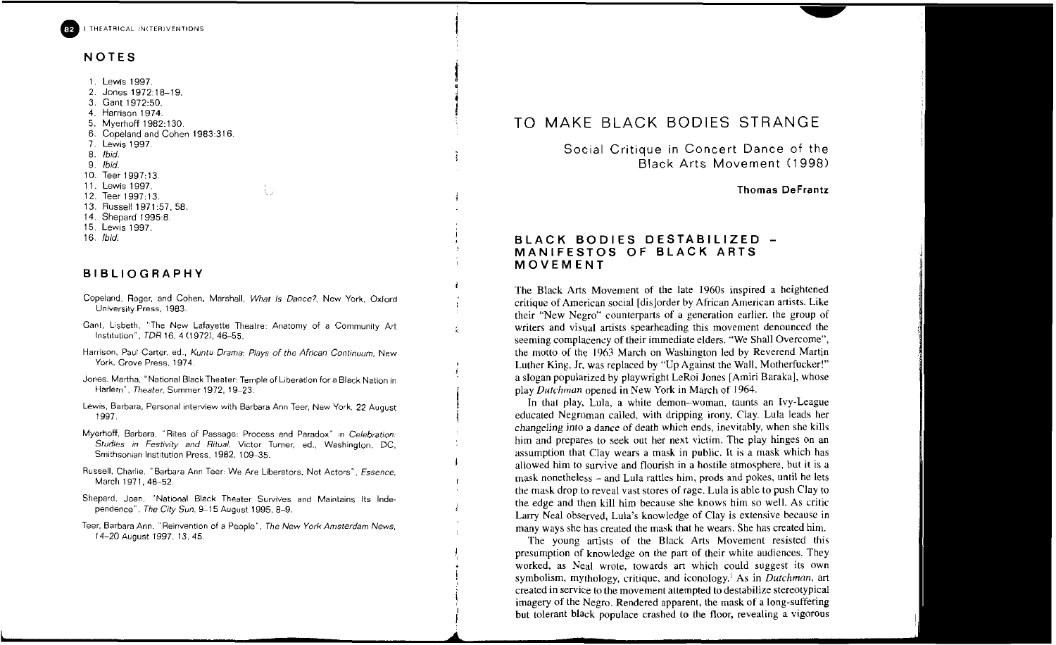# TO MAKE BLACK BODIES STRANGE

Social Critique in Concert Dance of the Black Arts Movement (1998)

**Thomas DeFrantz** 

## BLACK BODIES DESTABILIZED -MANIFESTOS OF BLACK ARTS MOVEMENT

The Black Arts Movement of the late 1960s inspired a heightened critique of American social [dis]order by African American artists. Like their "New Negro" counterparts of a generation earlier, the group of writers and visual artists spearheading this movement denounced the seeming complacency of their immediate elders. "We Shall Overcome", the motto of the 1963 March on Washington led by Reverend Martin Luther King, Jr, was replaced by "Up Against the Wall, Motherfucker!" a slogan popularized by playwright LeRoi Jones [Amiri Baraka], whose play Dutchman opened in New York in March of 1964.

In that play, Lula, a white demon-woman, taunts an Ivy-League educated Negroman called, with dripping irony, Clay. Lula leads her changeling into a dance of death which ends, inevitably, when she kills him and prepares to seek out her next victim. The play hinges on an assumption that Clay wears a mask in public. It is a mask which has allowed him to survive and flourish in a hostile atmosphere, but it is a mask nonetheless – and Lula rattles him, prods and pokes, until he lets the mask drop to reveal vast stores of rage. Lula is able to push Clay to the edge and then kill him because she knows him so well. As critic Larry Neal observed, Lula's knowledge of Clay is extensive because in many ways she has created the mask that he wears. She has created him.

The young artists of the Black Arts Movement resisted this presumption of knowledge on the part of their white audiences. They worked, as Neal wrote, towards art which could suggest its own symbolism, mythology, critique, and iconology.<sup>1</sup> As in *Dutchman*, art created in service to the movement attempted to destabilize stereotypical imagery of the Negro. Rendered apparent, the mask of a long-suffering but tolerant black populace crashed to the floor, revealing a vigorous

| xford         |
|---------------|
| - Art         |
| New           |
| ion in        |
| ugust         |
| ation:<br>DC. |

ś.

ence.

Inde-

lews.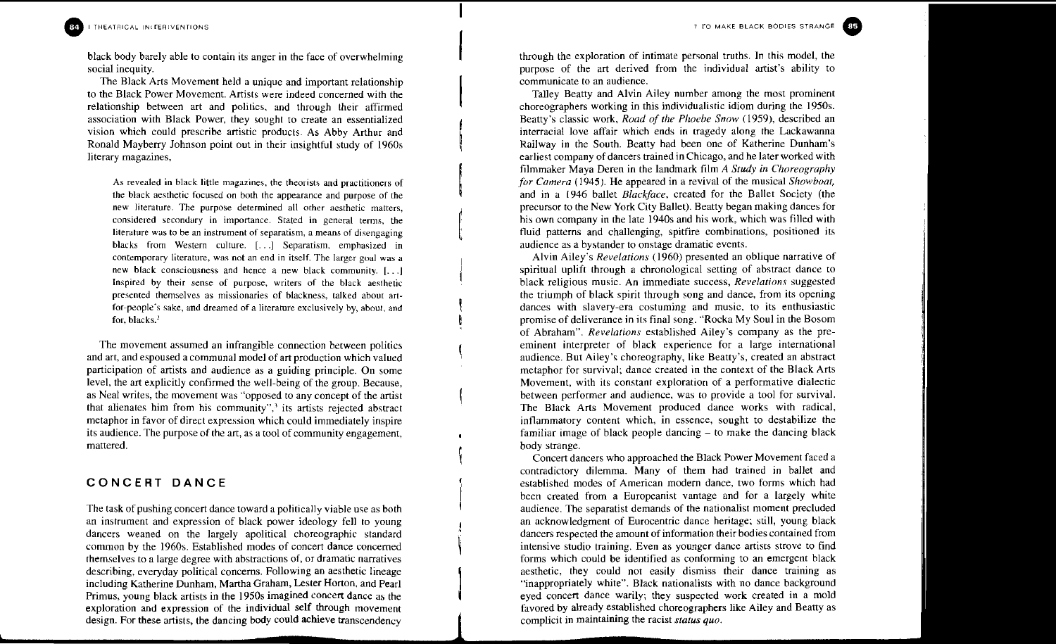**I THEATRICAL INCREDIVENTIONS** 

black body barely able to contain its anger in the face of overwhelming social inequity.

The Black Arts Movement held a unique and important relationship to the Black Power Movement. Artists were indeed concerned with the relationship between art and politics, and through their affirmed association with Black Power, they sought to create an essentialized vision which could prescribe artistic products. As Abby Arthur and Ronald Mayberry Johnson point out in their insightful study of 1960s literary magazines,

As revealed in black little magazines. the theorists and practitioners of the black aesthetic focused on both the appearance and purpose of the new literature. The purpose determined all other aesthetic matters, considered secondary in importance. Stated in general terms, the literature was to be an instrument of separatism, a means of disengaging blacks from Western culture. [...] Separatism, emphasized in contemporary literature, was not an end in itself. The larger goal was a new black consciousness and hence a new black community. [. . .] Inspired by their sense of purpose, writers of the black aesthetic presented themselves as missionaries of blackness, talked about artfor-people's sake, and dreamed of a literature exclusively by, about. and for, blacks.'

The movement assumed an infrangible connection hetween politics and art, and espoused a communal model of art production which valued participation of artists and audience as a guiding principle. On some level, the art explicitly confirmed the well-being of the group. Because, as Neal writes, the movement was "opposed to any concept of the artist that alienates him from his community",<sup>3</sup> its artists rejected abstract metaphor in favor of direct expression which could immediately inspire its audience. The purpose of the art, as a tool of community engagement, mattered.

## **CONCERT DANCE**

The task of pushing concert dance toward a politically viable use as both an instrument and expression of black power ideology fell to young dancers weaned on the largely apolitical choreographic standard common by the 1960s. Established modes of concert dance concerned themselves to a large degree with abstractions of, or dramatic narratives describing, everyday political concerns. Following an aesthetic lineage including Katherine Dunham, Martha Graham, Lester Horton. and Pearl Primus, young black artists in the 1950s imagined concen dance as the exploration and expression of the individual self through movement design. For these artists, the dancing body could achieve transcendency

through the exploration of intimate personal truths. In this model, the purpose of the art derived from the individual artist's ability to communicate to an audience.

Talley Beatty and Alvin Ailey number among the most prominent choreographers working in this individualistic idiom during the 1950s. Beatty's classic work, *Road of rhe Plrnebe Snow* (1959), described an interracial love affair which ends in tragedy along the Lackawanna Railway in the South. Beatty had been one of Katherine Dunham's earliest company of dancers trained in Chicago, and he later worked with filmmaker Maya Deren in the landmark film A *Study in Choreography for Camera* (1945). He appeared in a revival of the musical *Showboat*, and in a 1946 ballet *Blackface,* created for the Ballet Society (the precursor to the New York City Ballet). Beatty began making dances for his own company in the late 1940s and his work, which was filled with fluid patterns and challenging, spitfire combinations, positioned its audience as a hystander to onstage dramatic events.

Alvin Ailey's *Revelations* (1960) presented an oblique narrative of spiritual uplift through a chronological setting of abstract dance to black religious music. An immediate success, *Revelations* suggested the triumph of black spirit through song and dance, from its opening dances with slavery-era costuming and music, to its enthusiastic promise of deliverance in its final song. "Rocka My Soul in the Bosom of Abraham". *Revelations* established Ailey's company as the preeminent interpreter of black experience for a large international audience. But Ailey's choreography, like Beatty's, created an abstract metaphor for survival; dance created in the context of the Black Arts Movement, with its constant exploration of a performative dialectic between performer and audience, was to provide a tool for survival. The Black Arts Movement produced dance works with radical, inflammatory content which, in essence, sought to destabilize the familiar image of black people dancing - to make the dancing black body strange.

Concert dancers who approached the Black Power Movement faced a contradictory dilemma. Many of them had trained in ballet and established modes of American modem dance, two forms which had heen created from a Europeanist vantage and for a largely white audience. The separatist demands of the nationalist moment precluded an acknowledgment of Eurocentric dance heritage; still, young black dancers respected the amount of information their bodies contained from intensive studio training. Even as younger dance artists strove to find forms which could be identified as conforming to an emergent hlack aesthetic, they could not easily dismiss their dance training as "inappropriately white". Black nationalists with no dance background eyed concert dance warily; they suspected work created in a mold favored by already established choreographers like Ailey and Beatty as complicit in maintaining the racist *status quo.*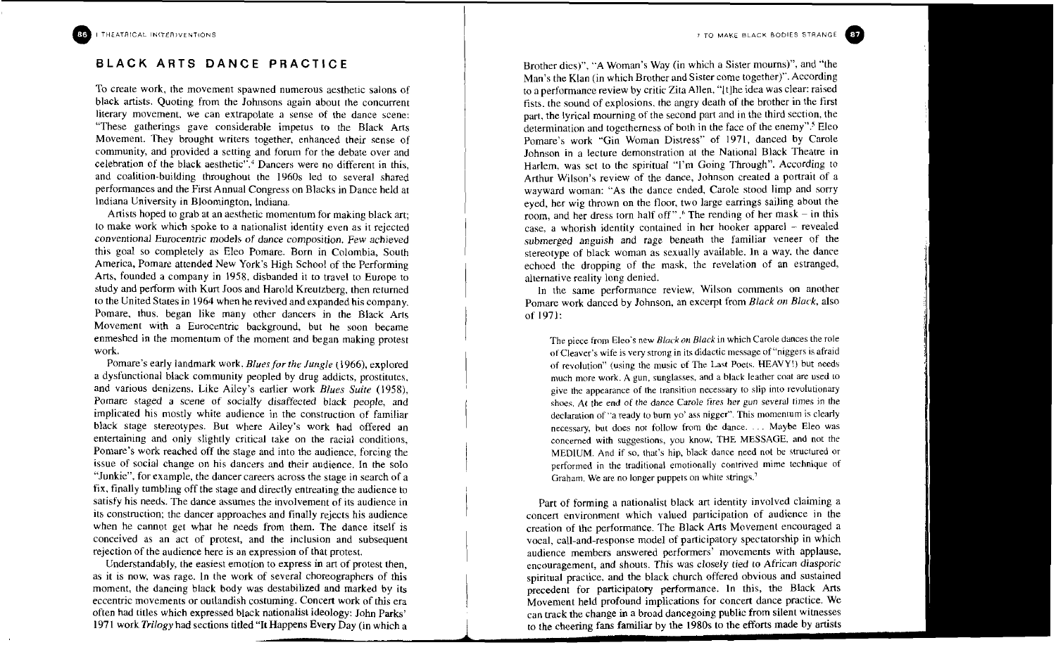# **BLACK ARTS DANCE PRACTICE**

To create work, the movement spawned numerous aesthetic salons of black artists. Quoting from the Johnsons again about the concurrent literary movement. we can extrapolate a sense of the dance scene: "These gatherings gave considerable impetus to the Black Arts Movement. They brought writers together, enhanced their sense of community, and provided a setting and forum for the debate over and celebration of the black aesthetic".' Dancers were no different in this, and coalition-building throughout the 1960s led to several shared performances and the First Annual Congress on Blacks in Dance held at Indiana University in Bloomington, Indiana.

Artists hoped to grab at an aesthetic momentum for making black art; to make work which spoke to a nationalist identity even as it rejected conventional Eurocentric models of dance composition. Few achieved this goal so completely as Eleo Pomare. Born in Colombia, South America, Pomare attended New York's High School of the Performing Arts, founded a company in 1958, disbanded it to travel to Europe to study and perform with Kurt Joos and Harold Kreutzberg, then returned to the United States in 1964 when he revived and expanded his company. Pomare, thus. began like many other dancers in the Black Arts Movement with a Eurocentric background, but he soon became enmeshed in the momentum of the moment and began making protest work.

Pomare's early landmark work, *Blues for the Jungle* (1966), explored a dysfunctional black community peopled by drug addicts, prostitutes. and various denizens. Like Ailey's earlier work *Blues Suite* (1958), Pornare staged a scene of socially disaffected black people, and implicated his mostly white audience in the construction of familiar black stage stereotypes. But where Ailey's work had offered an entertaining and only slightly critical take on the racial conditions, Pomare's work reached off the stage and into the audience, forcing the issue of social change on his dancers and their audience. In the solo "Junkie", for example, the dancer careers across the stage in search of a fix. finally tumbling off the stage and directly entreating the audience to satisfy his needs. The dance assumes the involvement of its audience in its construction; the dancer approaches and finally rejects his audience when he cannot get what he needs from them. The dance itself is conceived as an act of protest, and the inclusion and subsequent rejection of the audience here is an expression of that protest.

Understandably, the easiest emotion to express in art of protest then, as it is now, was rage. In the work of several choreographers of this moment, the dancing black body was destabilized and marked by its eccentric movements or outlandish costuming. Concert work of this era often had titles which expressed black nationalist ideology: John Parks' 197 1 work **Trilogy** had sections titled **"It** Happens Every Day (in which a Brother dies)". "A Woman's Way (in which a Sister mourns)", and "the Man's the Klan (in which Brother and Sister come together)". According to a performance review by critic Zita Allen, "[tlhe idea was clear: raised fists. the sound of explosions. the angry death of the brother in the first part, the lyrical mourning of the second part and in the third section, the determination and togetherness of both in the face of the enemy"? Eleo Pomare's work "Gin Woman Distress" of 1971, danced by Carole Johnson in a lecture demonstration at the National Black Theatre in Harlem, was set to the spiritual "I'm Going Through". According to Arthur Wilson's review of the dance, Johnson created a portrait of a wayward woman: "As the dance ended, Carole stood limp and sorry eyed, her wig thrown on the floor, two large earrings sailing about the room, and her dress torn half off".<sup>6</sup> The rending of her mask - in this case, a whorish identity contained in her hooker apparel - revealed submerged anguish and rage beneath the familiar veneer of the stereotype of black woman as sexually available. In a way. the dance echoed the dropping of the mask, the revelation of an estranged, alternative reality long denied.

In the same performance review, Wilson comments on another Pomare work danced by Johnson, an excerpt from *Black on Black*, also of 1971:

The piece from Eleo's new **Block** on *Black* in which Carole dances the role of Cleaver's wife is very strong in its didactic message of "niggers is afraid of revolution" (using the music of The Lasr Poets. HEAVY!) but needs much more work. A gun, sunplasses, and a black learher coat are used lo give the appearance of the transition necessary to slip into revulutionary shoes. At the end of the dance Carole fires her gun several times in the declaration of "a ready to burn yo' ass nigger". This momentum is clearly necessary, hut does nor follow from the dance. . . . Maybe Eleo was concerned with suggestions, you know, THE MESSAGE, and not the MEDIUM. And if so, that's hip, black dance need not be structured or performed in the traditional emotionally contrived mime technique of Graham. We are no longer puppets on white strings.'

Part of forming a nationalist black art identity involved claiming a concert environment which valued participation of audience in the creation of the performance. The Black Arts Movement encouraged a vocal, call-and-response model of participatory spectatorship in which audience members answered performers' movements with applause, encouragement, and shouts. This was closely tied to African diasporic spiritual practice. and the black church offered obvious and sustained precedent for participatory performance. In this, the Black Arts Movement held profound implications for concert dance practice. We can track the change in a broad dancegoing public from silent witnesses to the cheering fans familiar by the 1980s to the efforts made by artists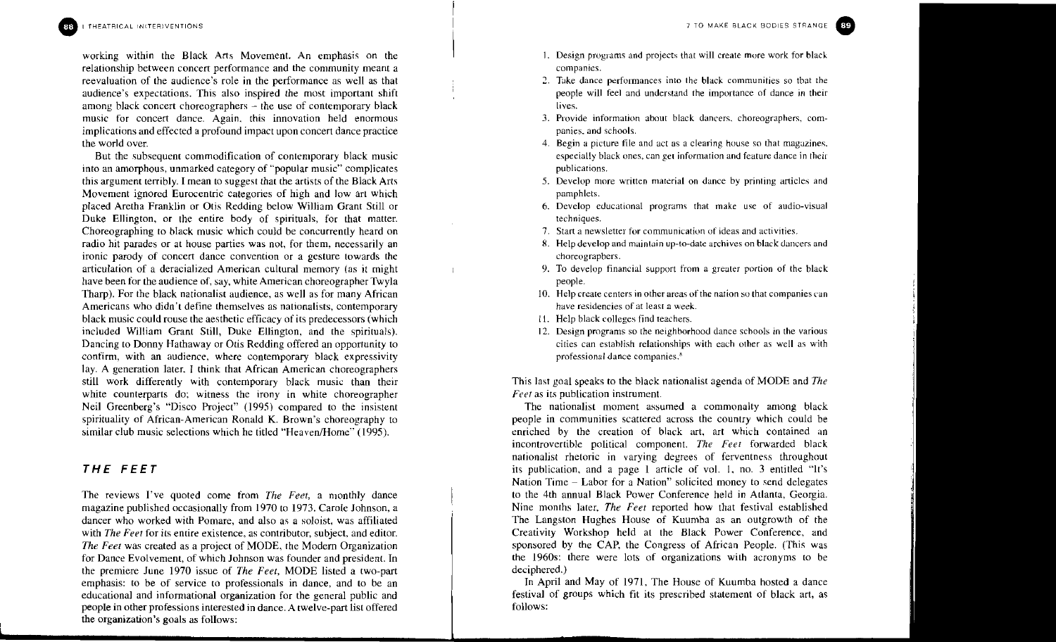working within the Black Arts Movement. An emphasis on the relationship between concert performance and the community meant a reevaluation of the audience's role in the performance as well as that audience's expectations. This also inspired the most important shift among black concert choreographers - the use of contemporary black music for concert dance. Again. this innovation held enormous implications and effected a profound impact upon concert dance practice the world over.

But the subsequent commodification of conteniporary black music into an amorphous, unmarked category of "popular music" complicates this argument terribly. I mean to suggest that the artists of the Black Arts Movement ignored Eurocentric categories of high and low art which placed Aretha Franklin or Otis Redding below William Grant Still or Duke Ellington, or the entire body of spirituals, for that matter. Choreographing to black music which could be concurrently heard on radio hit parades or at house parties was not, for them, necessarily an ironic parody of concert dance convention or a gesture towards the articulation of a deracialized American cultural memory (as it might have been for the audience of, say, white American choreographer Twyla Tharp). For the black nationalist audience, as well as for many African Americans who didn't define themselves as nationalists, contemporary black music could rouse the aesthetic efficacy of its predecessors (which included Williani Grant Still, Duke Ellington, and the spirituals). Dancing to Donny Mathaway or Otis Redding offered an opportunity to confirni, with an audience, where contemporary black expressivity lay. A generation later. I think that African American choreographers still work differently with contemporary black music than their white counterparts do; witness the irony in white choreographer Neil Greenberg's "Disco Project" (1995) compared to the insistent spirituality of African-American Ronald K. Brown's choreography to similar club music selections which he titled "Heaven/Home" (1995).

## **THE FEET**

The reviews I've quoted come from *The Feet,* a monthly dance magazine published occasionally from 1970 to 1973. Carole Johnson, a dancer who worked with Pomare, and also as a soloist, was affiliated with *The Fert* for its entire existence, as contributor, subject, and editor. *The Feet* was created as a project of MODE, the Modem Organization for Dance Evolvement, of which Johnson was founder and president. In the premiere June 1970 issue of *The Feet,* MODE listed a two-pat emphasis: to be of service to professionals in dance, and to be an educational and informational organization for the general public and people in other professions interested in dance. A twelve-pat list offered the organization's goals as folIows:

- <sup>1</sup>1. Design programs and projects that will create more work for black companies.
- 2, Take dance performances into the black communities so that the people will feel and understand the importance of dance in their lives.
- 3. Provide information ahout black dancers. choreographers, companies. and schools.
- 4. Begin a picture file and act as a clearing house so that magazines. especially black ones, can get information and feature dance in their publications.
- *5.* Develop more written material on dance by printing articles and pamphlets.
- 6. Develop educational programs that make use of audio-visual techniques.
- 7. Start a newsletrer for communication of ideas and activities.
- 8. Help develop and maintain up-to-date archives on black dancers and choreographers.
- 9. To develop financial support from a greater portion of the black people.
- 10. Help create centers in other areas of the nation so that companies can have residencies of at least a week.
- I I. Help black colleges find teachers.
- 12. Design programs so the neighhorhood dance schools in the various cities can estahlish relationships with each other as well as with professional dance companies.\*

This last goal speaks to the black nationalist agenda of MODE and *The Feet* as its publication instrument.

The nationalist moment assumed a commonalty among black people in communities scattered across the country which could be enriched by the creation of black art, art which contained an incontrovertible political component. *The Feet* forwarded black nationalist rhetoric in varying degrees of ferventness throughout its publication, and a page 1 article of vol. I, no. 3 entitled "It's Nation Time - Labor for a Nation" solicited money to send delegates to the 4th annual Black Power Conference held in Atlanta, Georgia. Nine months later, *The Feet* reported how that festival established The Langston Hughes House of Kuumba as an outgrowth of the Creativity Workshop held at the Black Power Conference, and sponsored by the CAP, the Congress of African People. (This was the 1960s: there were lots of organizations with acronyms to be deciphered.)

In April and May of 1971, The House of Kuumba hosted a dance festival of groups which fit its prescribed statement of black art, as follows: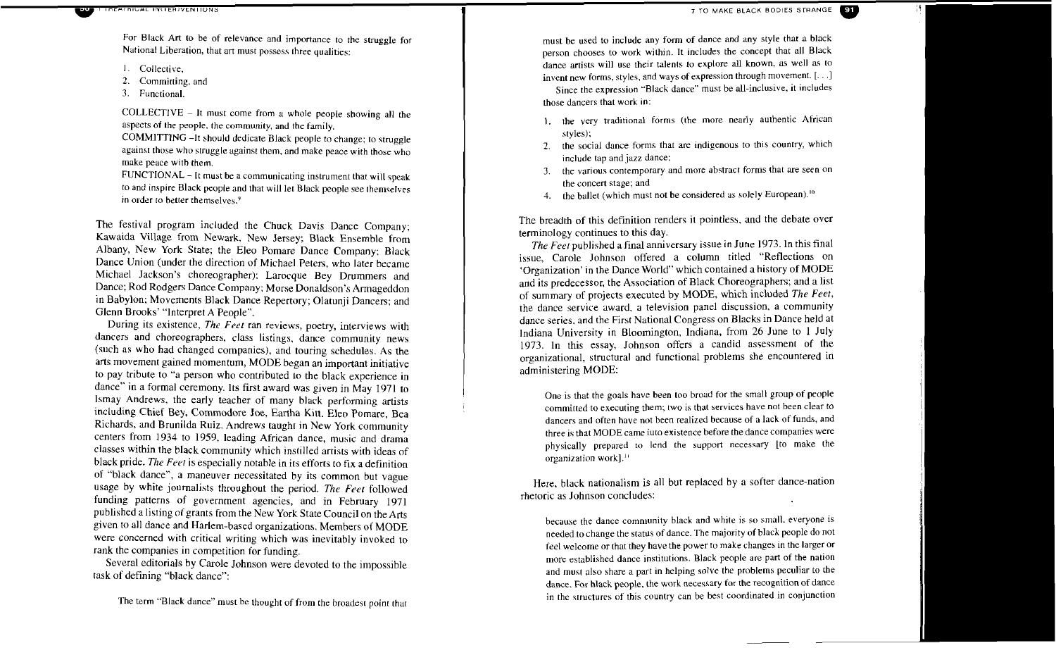**REATRICAL INCLERIVENTIONS** 

For Black Art to be of relevance and importance to the struggle for National Liberation, that art musr possess three qualities:

- I. Collective,
- 2. Committing, and
- 3. Functional.

COLLECTIVE  $-$  It must come from a whole people showing all the aspects of the people. the community, and the family.

COMMITTING -It should dedicate Black people to change; to struggle against those who struggle against them, and make peace with those who make peace with them.

FUNCTIONAL - It must be a communicating instrument that will speak to and inspire Black people and that will let Black people see themselves in order to better themselves.<sup>9</sup>

The festival program included the Chuck Davis Dance Company; Kawaida Village from Newark, New Jersey; Black Ensemble from Albany, New York State; the Eleo Pomare Dance Company: Black Dance Union (under the direction of Michael Peters, who later became Michael Jackson's choreographer): Larocque Bey Drummers and Dance; Rod Rodgers Dance Company: Morse Donaldson's Armageddon in Babylon; Movements Black Dance Repertory; Olatunji Dancers; and Glenn Brooks' "lnterpret A People".

During its existence, *The Feel* ran reviews, poetry, interviews with dancers and choreographers, class listings, dance community news (such as who had changed companies), and touring schedules. As the arts movement gained momentum, MODE began an important initiative to pay tribute to "a person who contributed lo the black experience in dance" in a formal ceremony. Its first award was given in May 1971 to lsmay Andrews, the early teacher of many black perfomling artists including Chief Bey, Commodore Joe, Eartha Kitt. Eleo Pomare, Bea Richards, and Brunilda Ruiz. Andrews taught in New York community centers from 1934 to 1959, leading African dance, music and drama classes within the black community which instilled artists with ideas of black pride. *The Feet* is especially notable in its efforts to fix a definition of "black dance", a maneuver necessitated by its common but vague usage by white journalists throughout the period. The Feet followed funding patterns of government agencies, and in February 1971 published a listing of grants from the New York State Council on the Arts given to all dance and Harlem-based organizations. Members of MODE were concerned with critical writing which was inevitably invoked to rank the companies in competition for funding.

Several editorials by Carole Johnson were devoted to the impossible task of defining "black dance":

must be used to include any form of dance and any style that a black person chooses to work within. It includes the concept that all Black dance artists will use their talents to explore all known, as well as to invent new forms, styles, and ways of expression through movement. [...]

Since the expression "Black dance" musr be all-inclusive, it includes those dancers that work in:

- 1. the very traditional forms (the more nearly authentic African styles);
- **2.** the social dance forms that are indigenous to this country, which include tap and jazz dance:
- 3. the various contemporary and more abstract forms that are seen on the concert stage; and
- 4. the ballet (which must not be considered as solely European).<sup>10</sup>

The breadth of this definition renders it pointless, and the debate over terminology continues to this day.

*The Feet* published a final anniversary issue in June 1973. In this final issue, Carole Johnson offered a column titled "Reflections on 'Organization' in the Dance World" which contained a history of MODE and its predecessor, the Association of Black Choreographers; and a list of summary of projects executed by MODE, which included *The Feet,*  the dance service award. a television panel discussion, a community dance series. and the First National Congress on Blacks in Dance held at lndiana University in Bloomington, lndiana, from 26 June to I July 1973. In this essay, Johnson offers a candid assessment of the organizational, structural and functional problems she encountered in administering MODE:

One is that the goals have been too broad for the small group of people committed to executing them; two is that services have not been clear to dancers and often have not been realized because of a lack of funds, and three is that MODE came iuto existence before the dancecompanies were physically prepared to lend the support necessary [to make the organization work]."

Here. black nationalism is all but replaced by a softer dance-nation rhetoric as Johnson concludes:

hecause the dance comnlunity black and white is so small. everyone is needed to change the status of dance. The majority of black people do not feel welcome or that they have the power to make changes in the larger or more established dance institutions. Black people are part of the nation and must also share a part in helping solve the problems peculiar to the dance. For hlack people, the work necessary for the recognition of dance in the structures of this country can be best coordinated in conjunction